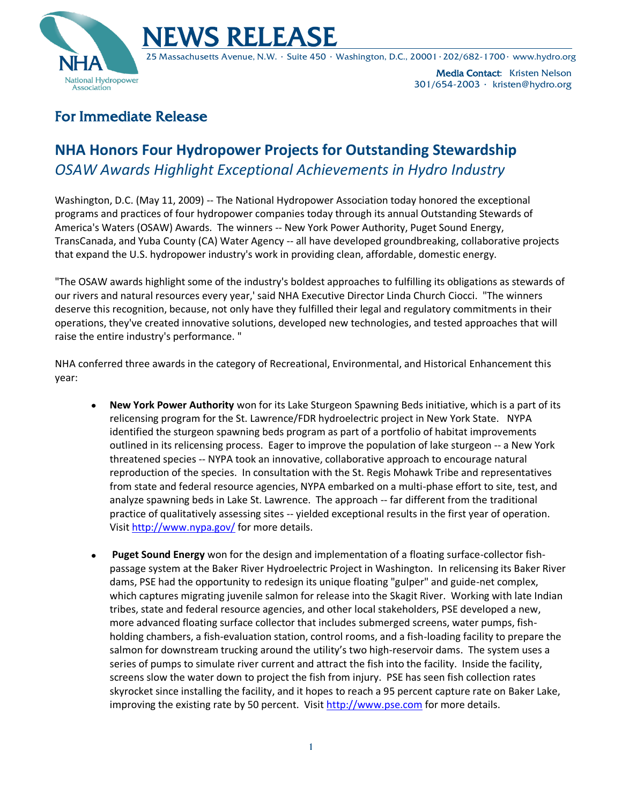



25 Massachusetts Avenue, N.W. ∙ Suite 450 ∙ Washington, D.C., 20001∙202/682-1700∙ www.hydro.org

Media Contact: Kristen Nelson 301/654-2003 ∙ kristen@hydro.org

## For Immediate Release

## **NHA Honors Four Hydropower Projects for Outstanding Stewardship** *OSAW Awards Highlight Exceptional Achievements in Hydro Industry*

Washington, D.C. (May 11, 2009) -- The National Hydropower Association today honored the exceptional programs and practices of four hydropower companies today through its annual Outstanding Stewards of America's Waters (OSAW) Awards. The winners -- New York Power Authority, Puget Sound Energy, TransCanada, and Yuba County (CA) Water Agency -- all have developed groundbreaking, collaborative projects that expand the U.S. hydropower industry's work in providing clean, affordable, domestic energy.

"The OSAW awards highlight some of the industry's boldest approaches to fulfilling its obligations as stewards of our rivers and natural resources every year,' said NHA Executive Director Linda Church Ciocci. "The winners deserve this recognition, because, not only have they fulfilled their legal and regulatory commitments in their operations, they've created innovative solutions, developed new technologies, and tested approaches that will raise the entire industry's performance. "

NHA conferred three awards in the category of Recreational, Environmental, and Historical Enhancement this year:

- **New York Power Authority** won for its Lake Sturgeon Spawning Beds initiative, which is a part of its relicensing program for the St. Lawrence/FDR hydroelectric project in New York State. NYPA identified the sturgeon spawning beds program as part of a portfolio of habitat improvements outlined in its relicensing process. Eager to improve the population of lake sturgeon -- a New York threatened species -- NYPA took an innovative, collaborative approach to encourage natural reproduction of the species. In consultation with the St. Regis Mohawk Tribe and representatives from state and federal resource agencies, NYPA embarked on a multi-phase effort to site, test, and analyze spawning beds in Lake St. Lawrence. The approach -- far different from the traditional practice of qualitatively assessing sites -- yielded exceptional results in the first year of operation. Visit<http://www.nypa.gov/> for more details.
- **Puget Sound Energy** won for the design and implementation of a floating surface-collector fishpassage system at the Baker River Hydroelectric Project in Washington. In relicensing its Baker River dams, PSE had the opportunity to redesign its unique floating "gulper" and guide-net complex, which captures migrating juvenile salmon for release into the Skagit River. Working with late Indian tribes, state and federal resource agencies, and other local stakeholders, PSE developed a new, more advanced floating surface collector that includes submerged screens, water pumps, fishholding chambers, a fish-evaluation station, control rooms, and a fish-loading facility to prepare the salmon for downstream trucking around the utility's two high-reservoir dams. The system uses a series of pumps to simulate river current and attract the fish into the facility. Inside the facility, screens slow the water down to project the fish from injury. PSE has seen fish collection rates skyrocket since installing the facility, and it hopes to reach a 95 percent capture rate on Baker Lake, improving the existing rate by 50 percent. Visit [http://www.pse.com](http://www.pse.com/) for more details.